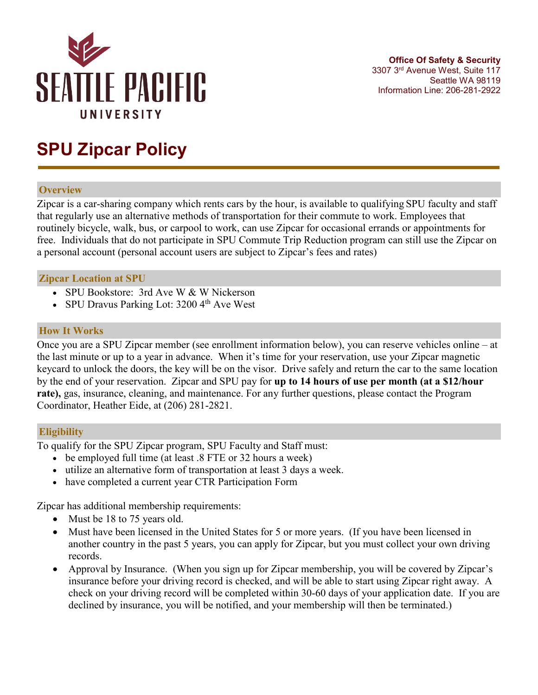

# **SPU Zipcar Policy**

## **Overview**

Zipcar is a car-sharing company which rents cars by the hour, is available to qualifying SPU faculty and staff that regularly use an alternative methods of transportation for their commute to work. Employees that routinely bicycle, walk, bus, or carpool to work, can use Zipcar for occasional errands or appointments for free. Individuals that do not participate in SPU Commute Trip Reduction program can still use the Zipcar on a personal account (personal account users are subject to Zipcar's fees and rates)

## **Zipcar Location at SPU**

- SPU Bookstore: 3rd Ave W & W Nickerson
- SPU Dravus Parking Lot: 3200 4<sup>th</sup> Ave West

## **How It Works**

Once you are a SPU Zipcar member (see enrollment information below), you can reserve vehicles online – at the last minute or up to a year in advance. When it's time for your reservation, use your Zipcar magnetic keycard to unlock the doors, the key will be on the visor. Drive safely and return the car to the same location by the end of your reservation. Zipcar and SPU pay for **up to 14 hours of use per month (at a \$12/hour rate),** gas, insurance, cleaning, and maintenance. For any further questions, please contact the Program Coordinator, Heather Eide, at (206) 281-2821.

### **Eligibility**

To qualify for the SPU Zipcar program, SPU Faculty and Staff must:

- be employed full time (at least .8 FTE or 32 hours a week)
- utilize an alternative form of transportation at least 3 days a week.
- have completed a current year CTR Participation Form

Zipcar has additional membership requirements:

- Must be 18 to 75 years old.
- Must have been licensed in the United States for 5 or more years. (If you have been licensed in another country in the past 5 years, you can apply for Zipcar, but you must collect your own driving records.
- Approval by Insurance. (When you sign up for Zipcar membership, you will be covered by Zipcar's insurance before your driving record is checked, and will be able to start using Zipcar right away. A check on your driving record will be completed within 30-60 days of your application date. If you are declined by insurance, you will be notified, and your membership will then be terminated.)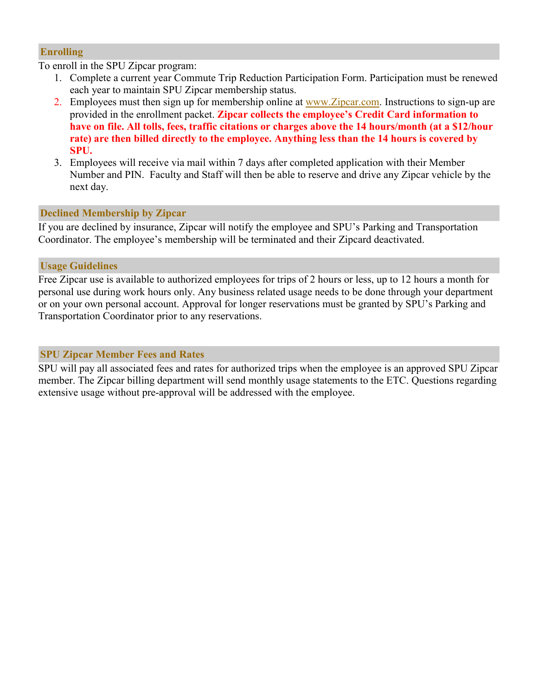## **Enrolling**

To enroll in the SPU Zipcar program:

- 1. Complete a current year Commute Trip Reduction Participation Form. Participation must be renewed each year to maintain SPU Zipcar membership status.
- 2. Employees must then sign up for membership online at [www.Zipcar.com.](http://www.flexcar.com/) Instructions to sign-up are provided in the enrollment packet. **Zipcar collects the employee's Credit Card information to have on file. All tolls, fees, traffic citations or charges above the 14 hours/month (at a \$12/hour rate) are then billed directly to the employee. Anything less than the 14 hours is covered by SPU.**
- 3. Employees will receive via mail within 7 days after completed application with their Member Number and PIN. Faculty and Staff will then be able to reserve and drive any Zipcar vehicle by the next day.

# **Declined Membership by Zipcar**

If you are declined by insurance, Zipcar will notify the employee and SPU's Parking and Transportation Coordinator. The employee's membership will be terminated and their Zipcard deactivated.

# **Usage Guidelines**

Free Zipcar use is available to authorized employees for trips of 2 hours or less, up to 12 hours a month for personal use during work hours only. Any business related usage needs to be done through your department or on your own personal account. Approval for longer reservations must be granted by SPU's Parking and Transportation Coordinator prior to any reservations.

# **SPU Zipcar Member Fees and Rates**

SPU will pay all associated fees and rates for authorized trips when the employee is an approved SPU Zipcar member. The Zipcar billing department will send monthly usage statements to the ETC. Questions regarding extensive usage without pre-approval will be addressed with the employee.